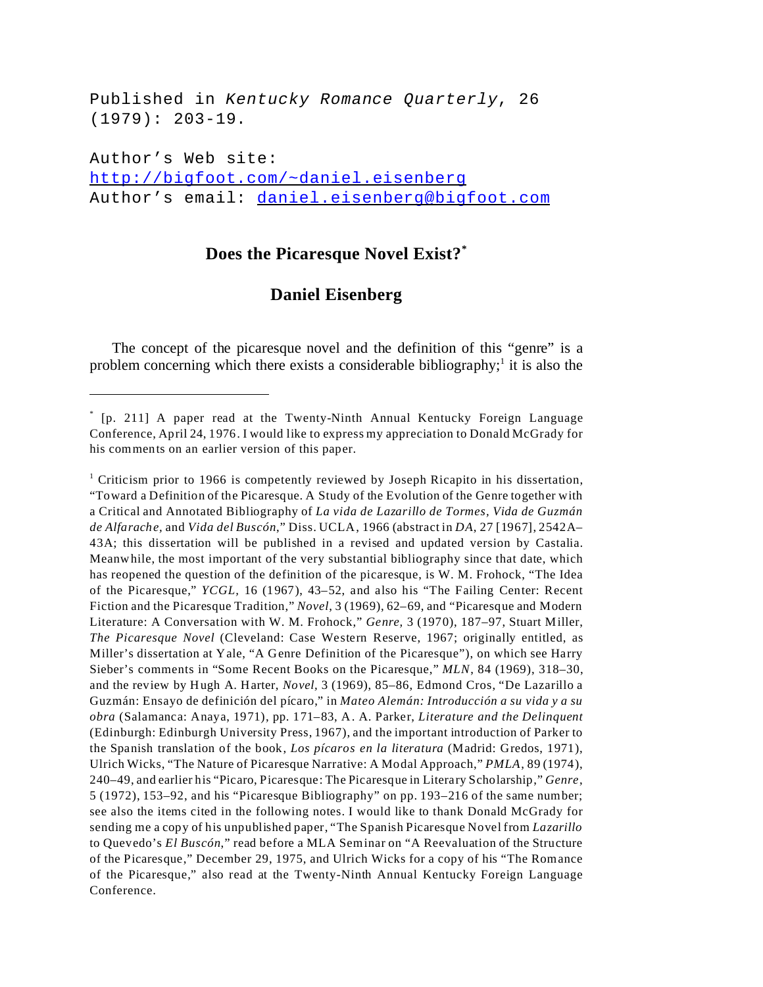Published in *Kentucky Romance Quarterly*, 26 (1979): 203-19.

Author's Web site: <http://bigfoot.com/~daniel.eisenberg> Author's email: [daniel.eisenberg@bigfoot.com](mailto:daniel.eisenberg@bigfoot.com)

## **Does the Picaresque Novel Exist?\***

## **Daniel Eisenberg**

The concept of the picaresque novel and the definition of this "genre" is a problem concerning which there exists a considerable bibliography;<sup>1</sup> it is also the

<sup>\*</sup> [p. 211] A paper read at the Twenty-Ninth Annual Kentucky Foreign Language Conference, April 24, 1976. I would like to express my appreciation to Donald McGrady for his comments on an earlier version of this paper.

<sup>&</sup>lt;sup>1</sup> Criticism prior to 1966 is competently reviewed by Joseph Ricapito in his dissertation, "Toward a Definition of the Picaresque. A Study of the Evolution of the Genre together with a Critical and Annotated Bibliography of *La vida de Lazarillo de Tormes, Vida de Guzmán de Alfarache,* and *Vida del Buscón*," Diss. UCLA, 1966 (abstract in *DA*, 27 [1967], 2542A– 43A; this dissertation will be published in a revised and updated version by Castalia. Meanwhile, the most important of the very substantial bibliography since that date, which has reopened the question of the definition of the picaresque, is W. M. Frohock, "The Idea of the Picaresque," *YCGL,* 16 (1967), 43–52, and also his "The Failing Center: Recent Fiction and the Picaresque Tradition," *Novel*, 3 (1969), 62–69, and "Picaresque and Modern Literature: A Conversation with W. M. Frohock," *Genre,* 3 (1970), 187–97, Stuart Miller, *The Picaresque Novel* (Cleveland: Case Western Reserve, 1967; originally entitled, as Miller's dissertation at Yale, "A Genre Definition of the Picaresque"), on which see Harry Sieber's comments in "Some Recent Books on the Picaresque," *MLN*, 84 (1969), 318–30, and the review by Hugh A. Harter, *Novel,* 3 (1969), 85–86, Edmond Cros, "De Lazarillo a Guzmán: Ensayo de definición del pícaro," in *Mateo Alemán: Introducción a su vida y a su obra* (Salamanca: Anaya, 1971), pp. 171–83, A. A. Parker, *Literature and the Delinquent* (Edinburgh: Edinburgh University Press, 1967), and the important introduction of Parker to the Spanish translation of the book, *Los pícaros en la literatura* (Madrid: Gredos, 1971), Ulrich Wicks, "The Nature of Picaresque Narrative: A Modal Approach," *PMLA*, 89 (1974), 240–49, and earlier his "Picaro, Picaresque: The Picaresque in Literary Scholarship," *Genre*, 5 (1972), 153–92, and his "Picaresque Bibliography" on pp. 193–216 of the same number; see also the items cited in the following notes. I would like to thank Donald McGrady for sending me a copy of his unpublished paper, "The Spanish Picaresque Novel from *Lazarillo* to Quevedo's *El Buscón*," read before a MLA Seminar on "A Reevaluation of the Structure of the Picaresque," December 29, 1975, and Ulrich Wicks for a copy of his "The Romance of the Picaresque," also read at the Twenty-Ninth Annual Kentucky Foreign Language Conference.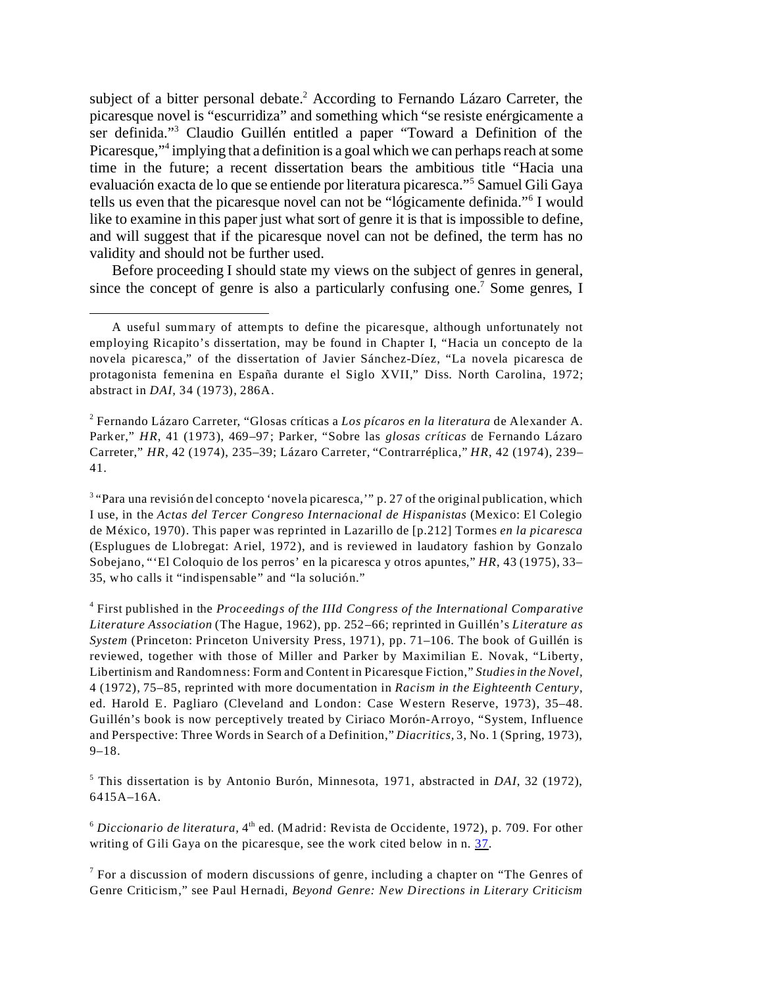subject of a bitter personal debate.<sup>2</sup> According to Fernando Lázaro Carreter, the picaresque novel is "escurridiza" and something which "se resiste enérgicamente a ser definida."<sup>3</sup> Claudio Guillén entitled a paper "Toward a Definition of the Picaresque,"<sup>4</sup> implying that a definition is a goal which we can perhaps reach at some time in the future; a recent dissertation bears the ambitious title "Hacia una evaluación exacta de lo que se entiende por literatura picaresca."<sup>5</sup> Samuel Gili Gaya tells us even that the picaresque novel can not be "lógicamente definida."<sup>6</sup> I would like to examine in this paper just what sort of genre it is that is impossible to define, and will suggest that if the picaresque novel can not be defined, the term has no validity and should not be further used.

Before proceeding I should state my views on the subject of genres in general, since the concept of genre is also a particularly confusing one.<sup>7</sup> Some genres, I

<span id="page-1-0"></span><sup>3</sup> "Para una revisión del concepto 'novela picaresca,'" p. 27 of the original publication, which I use, in the *Actas del Tercer Congreso Internacional de Hispanistas* (Mexico: El Colegio de México, 1970). This paper was reprinted in Lazarillo de [p.212] Tormes *en la picaresca* (Esplugues de Llobregat: Ariel, 1972), and is reviewed in laudatory fashion by Gonzalo Sobejano, "'El Coloquio de los perros' en la picaresca y otros apuntes," *HR*, 43 (1975), 33– 35, who calls it "indispensable" and "la solución."

4 First published in the *Proceedings of the IIId Congress of the International Comparative Literature Association* (The Hague, 1962), pp. 252–66; reprinted in Guillén's *Literature as System* (Princeton: Princeton University Press, 1971), pp. 71–106. The book of Guillén is reviewed, together with those of Miller and Parker by Maximilian E. Novak, "Liberty, Libertinism and Randomness: Form and Content in Picaresque Fiction," *Studiesin the Novel,* 4 (1972), 75–85, reprinted with more documentation in *Racism in the Eighteenth Century*, ed. Harold E. Pagliaro (Cleveland and London: Case Western Reserve, 1973), 35–48. Guillén's book is now perceptively treated by Ciriaco Morón-Arroyo, "System, Influence and Perspective: Three Words in Search of a Definition," *Diacritics,* 3, No. 1 (Spring, 1973), 9–18.

5 This dissertation is by Antonio Burón, Minnesota, 1971, abstracted in *DAI*, 32 (1972), 6415A–16A.

 $6$  *Diccionario de literatura*,  $4<sup>th</sup>$  ed. (Madrid: Revista de Occidente, 1972), p. 709. For other writing of Gili Gaya on the picaresque, see the work cited below in n. [37](#page-8-0).

 $7$  For a discussion of modern discussions of genre, including a chapter on "The Genres of Genre Criticism," see Paul Hernadi, *Beyond Genre: New Directions in Literary Criticism*

A useful summary of attempts to define the picaresque, although unfortunately not employing Ricapito's dissertation, may be found in Chapter I, "Hacia un concepto de la novela picaresca," of the dissertation of Javier Sánchez-Díez, "La novela picaresca de protagonista femenina en España durante el Siglo XVII," Diss. North Carolina, 1972; abstract in *DAI*, 34 (1973), 286A.

<sup>2</sup> Fernando Lázaro Carreter, "Glosas críticas a *Los pícaros en la literatura* de Alexander A. Parker," *HR*, 41 (1973), 469–97; Parker, "Sobre las *glosas críticas* de Fernando Lázaro Carreter," *HR*, 42 (1974), 235–39; Lázaro Carreter, "Contrarréplica," *HR*, 42 (1974), 239– 41.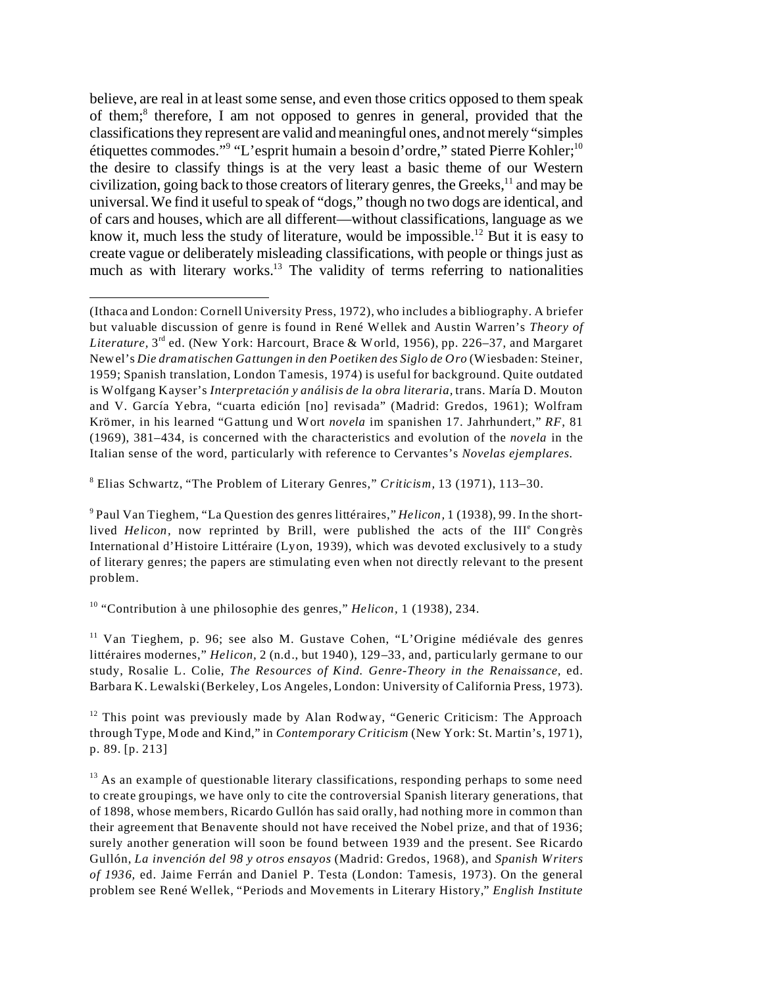believe, are real in at least some sense, and even those critics opposed to them speak of them;<sup>8</sup> therefore, I am not opposed to genres in general, provided that the classifications they represent are valid and meaningful ones, and not merely "simples étiquettes commodes."<sup>9</sup> "L'esprit humain a besoin d'ordre," stated Pierre Kohler;<sup>10</sup> the desire to classify things is at the very least a basic theme of our Western civilization, going back to those creators of literary genres, the Greeks, $<sup>11</sup>$  and may be</sup> universal. We find it useful to speak of "dogs," though no two dogs are identical, and of cars and houses, which are all different—without classifications, language as we know it, much less the study of literature, would be impossible.<sup>12</sup> But it is easy to create vague or deliberately misleading classifications, with people or things just as much as with literary works.<sup>13</sup> The validity of terms referring to nationalities

8 Elias Schwartz, "The Problem of Literary Genres," *Criticism,* 13 (1971), 113–30.

9 Paul Van Tieghem, "La Question des genres littéraires," *Helicon,* 1 (1938), 99. In the shortlived *Helicon*, now reprinted by Brill, were published the acts of the III<sup>e</sup> Congrès International d'Histoire Littéraire (Lyon, 1939), which was devoted exclusively to a study of literary genres; the papers are stimulating even when not directly relevant to the present problem.

<sup>10</sup> "Contribution à une philosophie des genres," *Helicon,* 1 (1938), 234.

<sup>11</sup> Van Tieghem, p. 96; see also M. Gustave Cohen, "L'Origine médiévale des genres littéraires modernes," *Helicon,* 2 (n.d., but 1940), 129–33, and, particularly germane to our study, Rosalie L. Colie, *The Resources of Kind. Genre-Theory in the Renaissance,* ed. Barbara K. Lewalski (Berkeley, Los Angeles, London: University of California Press, 1973).

<sup>12</sup> This point was previously made by Alan Rodway, "Generic Criticism: The Approach through Type, Mode and Kind," in *Contemporary Criticism* (New York: St. Martin's, 1971), p. 89. [p. 213]

 $13$  As an example of questionable literary classifications, responding perhaps to some need to create groupings, we have only to cite the controversial Spanish literary generations, that of 1898, whose members, Ricardo Gullón has said orally, had nothing more in common than their agreement that Benavente should not have received the Nobel prize, and that of 1936; surely another generation will soon be found between 1939 and the present. See Ricardo Gullón, *La invención del 98 y otros ensayos* (Madrid: Gredos, 1968), and *Spanish Writers of 1936,* ed. Jaime Ferrán and Daniel P. Testa (London: Tamesis, 1973). On the general problem see René Wellek, "Periods and Movements in Literary History," *English Institute*

<sup>(</sup>Ithaca and London: Cornell University Press, 1972), who includes a bibliography. A briefer but valuable discussion of genre is found in René Wellek and Austin Warren's *Theory of Literature,* 3rd ed. (New York: Harcourt, Brace & World, 1956), pp. 226–37, and Margaret Newel's *Die dramatischen Gattungen in den Poetiken des Siglo de Oro* (Wiesbaden: Steiner, 1959; Spanish translation, London Tamesis, 1974) is useful for background. Quite outdated is Wolfgang Kayser's *Interpretación y análisis de la obra literaria,* trans. María D. Mouton and V. García Yebra, "cuarta edición [no] revisada" (Madrid: Gredos, 1961); Wolfram Krömer, in his learned "Gattung und Wort *novela* im spanishen 17. Jahrhundert," *RF*, 81 (1969), 381–434, is concerned with the characteristics and evolution of the *novela* in the Italian sense of the word, particularly with reference to Cervantes's *Novelas ejemplares.*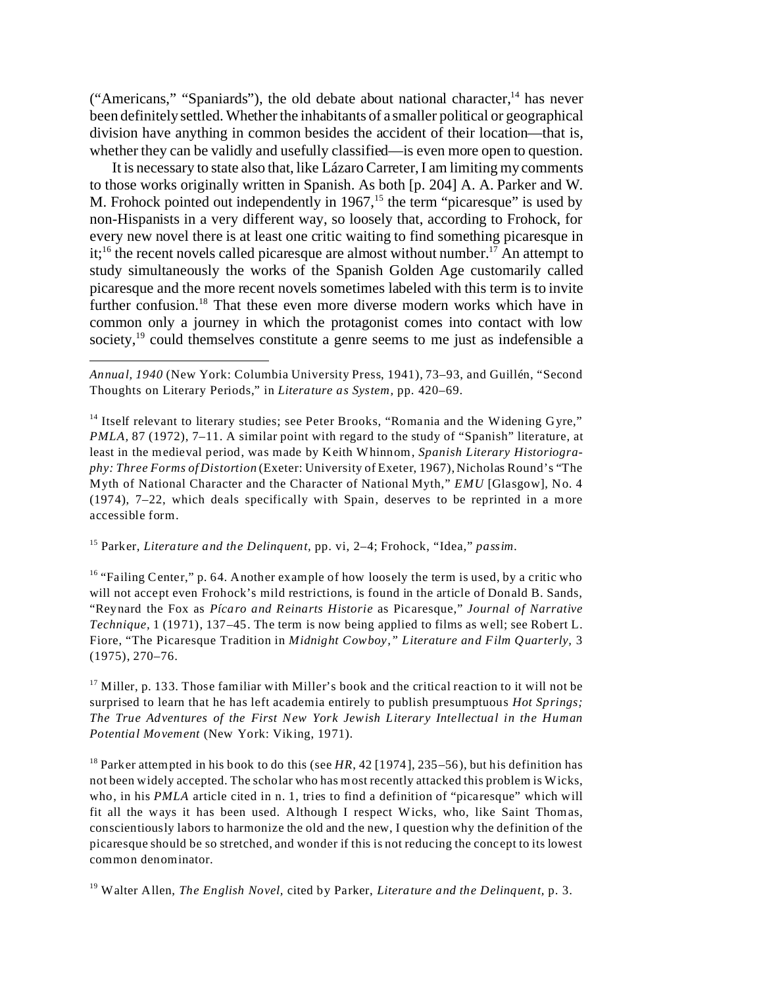("Americans," "Spaniards"), the old debate about national character, $14$  has never been definitely settled. Whether the inhabitants of a smaller political or geographical division have anything in common besides the accident of their location—that is, whether they can be validly and usefully classified—is even more open to question.

It is necessary to state also that, like Lázaro Carreter, I am limiting my comments to those works originally written in Spanish. As both [p. 204] A. A. Parker and W. M. Frohock pointed out independently in  $1967<sup>15</sup>$ , the term "picaresque" is used by non-Hispanists in a very different way, so loosely that, according to Frohock, for every new novel there is at least one critic waiting to find something picaresque in  $it;$ <sup>16</sup> the recent novels called picaresque are almost without number.<sup>17</sup> An attempt to study simultaneously the works of the Spanish Golden Age customarily called picaresque and the more recent novels sometimes labeled with this term is to invite further confusion.<sup>18</sup> That these even more diverse modern works which have in common only a journey in which the protagonist comes into contact with low society,<sup>19</sup> could themselves constitute a genre seems to me just as indefensible a

*Annual, 1940* (New York: Columbia University Press, 1941), 73–93, and Guillén, "Second Thoughts on Literary Periods," in *Literature as System,* pp. 420–69.

<sup>15</sup> Parker, *Literature and the Delinquent,* pp. vi, 2–4; Frohock, "Idea," *passim.*

<sup>16</sup> "Failing Center," p. 64. Another example of how loosely the term is used, by a critic who will not accept even Frohock's mild restrictions, is found in the article of Donald B. Sands, "Reynard the Fox as *Pícaro and Reinarts Historie* as Picaresque," *Journal of Narrative Technique,* 1 (1971), 137–45. The term is now being applied to films as well; see Robert L. Fiore, "The Picaresque Tradition in *Midnight Cowboy," Literature and Film Quarterly,* 3 (1975), 270–76.

 $17$  Miller, p. 133. Those familiar with Miller's book and the critical reaction to it will not be surprised to learn that he has left academia entirely to publish presumptuous *Hot Springs; The True Adventures of the First New York Jewish Literary Intellectual in the Human Potential Movement* (New York: Viking, 1971).

<sup>18</sup> Parker attempted in his book to do this (see HR, 42 [1974], 235–56), but his definition has not been widely accepted. The scholar who has most recently attacked this problem is Wicks, who, in his *PMLA* article cited in n. 1, tries to find a definition of "picaresque" which will fit all the ways it has been used. Although I respect Wicks, who, like Saint Thomas, conscientiously labors to harmonize the old and the new, I question why the definition of the picaresque should be so stretched, and wonder if this is not reducing the concept to its lowest common denominator.

<sup>19</sup> Walter Allen, *The English Novel,* cited by Parker, *Literature and the Delinquent,* p. 3.

<sup>&</sup>lt;sup>14</sup> Itself relevant to literary studies; see Peter Brooks, "Romania and the Widening Gyre," *PMLA*, 87 (1972), 7–11. A similar point with regard to the study of "Spanish" literature, at least in the medieval period, was made by Keith Whinnom, *Spanish Literary Historiography: Three Forms of Distortion* (Exeter: University of Exeter, 1967), Nicholas Round's "The Myth of National Character and the Character of National Myth," *EMU* [Glasgow], No. 4 (1974), 7–22, which deals specifically with Spain, deserves to be reprinted in a more accessible form.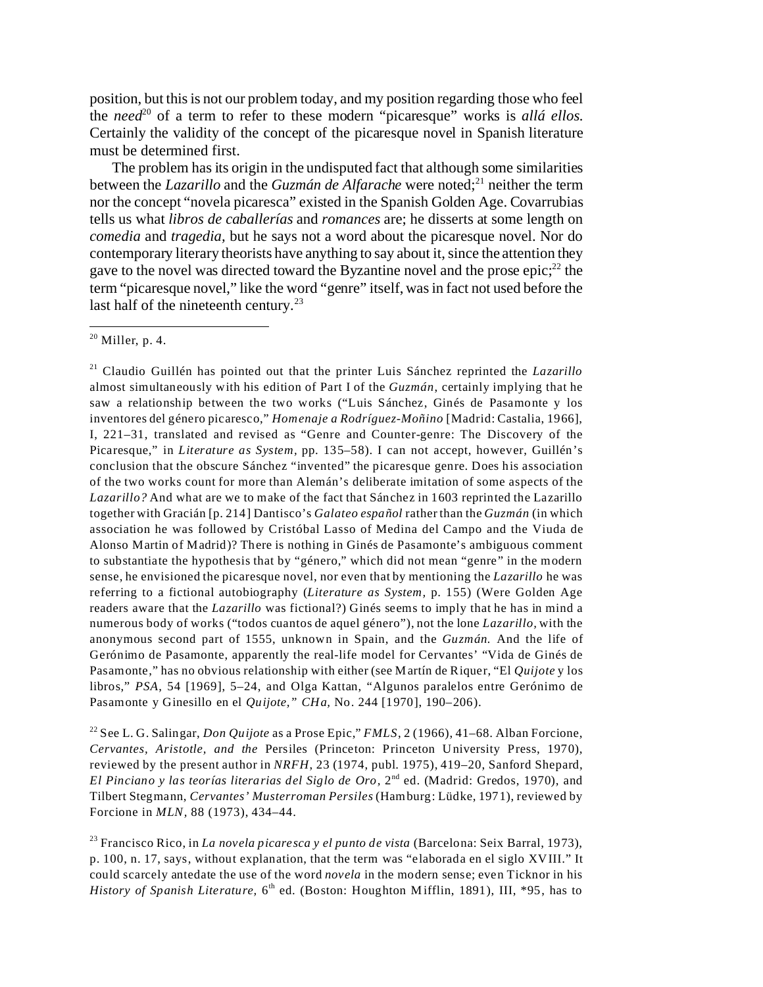position, but this is not our problem today, and my position regarding those who feel the *need*<sup>20</sup> of a term to refer to these modern "picaresque" works is alla ellos. Certainly the validity of the concept of the picaresque novel in Spanish literature must be determined first.

The problem has its origin in the undisputed fact that although some similarities between the *Lazarillo* and the *Guzmán de Alfarache* were noted;<sup>21</sup> neither the term nor the concept "novela picaresca" existed in the Spanish Golden Age. Covarrubias tells us what *libros de caballerías* and *romances* are; he disserts at some length on *comedia* and *tragedia,* but he says not a word about the picaresque novel. Nor do contemporary literary theorists have anything to say about it, since the attention they gave to the novel was directed toward the Byzantine novel and the prose  $epic;^{22}$  the term "picaresque novel," like the word "genre" itself, was in fact not used before the last half of the nineteenth century.<sup>23</sup>

<span id="page-4-0"></span><sup>21</sup> Claudio Guillén has pointed out that the printer Luis Sánchez reprinted the *Lazarillo* almost simultaneously with his edition of Part I of the *Guzmán*, certainly implying that he saw a relationship between the two works ("Luis Sánchez, Ginés de Pasamonte y los inventores del género picaresco," *Homenaje a Rodríguez*-*Moñino* [Madrid: Castalia, 1966], I, 221–31, translated and revised as "Genre and Counter-genre: The Discovery of the Picaresque," in *Literature as System,* pp. 135–58). I can not accept, however, Guillén's conclusion that the obscure Sánchez "invented" the picaresque genre. Does his association of the two works count for more than Alemán's deliberate imitation of some aspects of the *Lazarillo?* And what are we to make of the fact that Sánchez in 1603 reprinted the Lazarillo together with Gracián [p. 214] Dantisco's *Galateo español* rather than the *Guzmán* (in which association he was followed by Cristóbal Lasso of Medina del Campo and the Viuda de Alonso Martin of Madrid)? There is nothing in Ginés de Pasamonte's ambiguous comment to substantiate the hypothesis that by "género," which did not mean "genre" in the modern sense, he envisioned the picaresque novel, nor even that by mentioning the *Lazarillo* he was referring to a fictional autobiography (*Literature as System,* p. 155) (Were Golden Age readers aware that the *Lazarillo* was fictional?) Ginés seems to imply that he has in mind a numerous body of works ("todos cuantos de aquel género"), not the lone *Lazarillo,* with the anonymous second part of 1555, unknown in Spain, and the *Guzmán.* And the life of Gerónimo de Pasamonte, apparently the real-life model for Cervantes' "Vida de Ginés de Pasamonte," has no obvious relationship with either (see Martín de Riquer, "El *Quijote* y los libros," *PSA*, 54 [1969], 5–24, and Olga Kattan, "Algunos paralelos entre Gerónimo de Pasamonte y Ginesillo en el *Quijote," CHa,* No. 244 [1970], 190–206).

<sup>22</sup> See L. G. Salingar, *Don Quijote* as a Prose Epic," *FMLS*, 2 (1966), 41–68. Alban Forcione, *Cervantes, Aristotle, and the* Persiles (Princeton: Princeton University Press, 1970), reviewed by the present author in *NRFH*, 23 (1974, publ. 1975), 419–20, Sanford Shepard, El Pinciano y las teorías literarias del Siglo de Oro, 2<sup>nd</sup> ed. (Madrid: Gredos, 1970), and Tilbert Stegmann, *Cervantes' Musterroman Persiles* (Hamburg: Lüdke, 1971), reviewed by Forcione in *MLN,* 88 (1973), 434–44.

<sup>23</sup> Francisco Rico, in *La novela picaresca y el punto de vista* (Barcelona: Seix Barral, 1973), p. 100, n. 17, says, without explanation, that the term was "elaborada en el siglo XVIII." It could scarcely antedate the use of the word *novela* in the modern sense; even Ticknor in his History of Spanish Literature, 6<sup>th</sup> ed. (Boston: Houghton Mifflin, 1891), III, \*95, has to

 $20$  Miller, p. 4.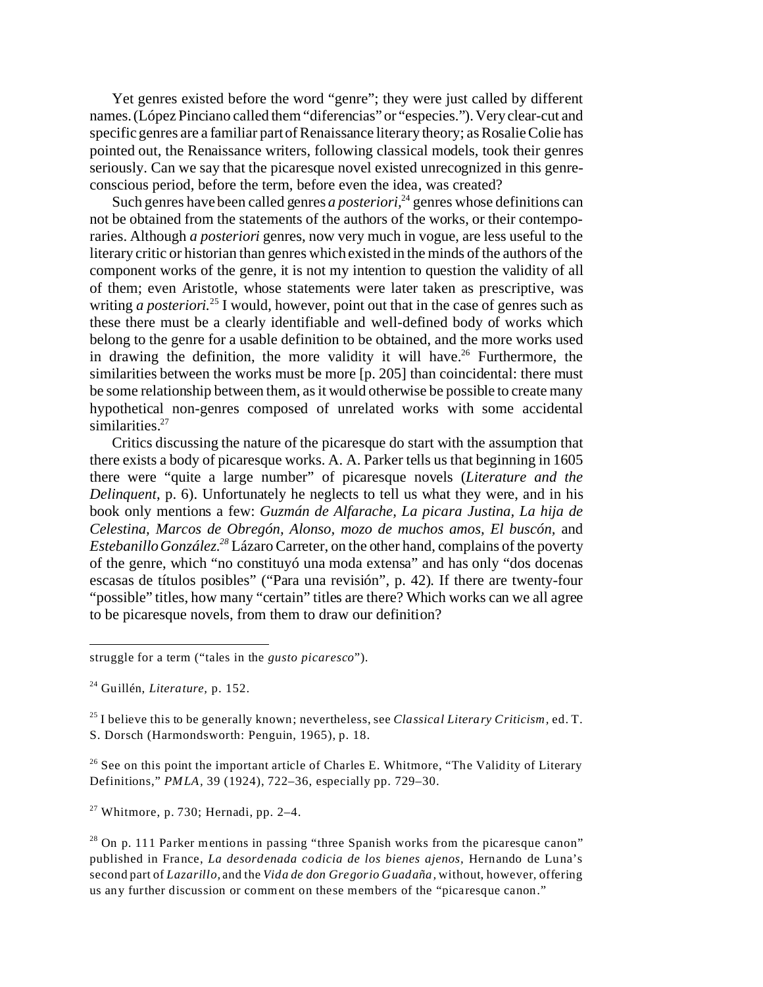Yet genres existed before the word "genre"; they were just called by different names. (López Pinciano called them "diferencias" or "especies."). Very clear-cut and specific genres are a familiar part of Renaissance literary theory; as Rosalie Colie has pointed out, the Renaissance writers, following classical models, took their genres seriously. Can we say that the picaresque novel existed unrecognized in this genreconscious period, before the term, before even the idea, was created?

Such genres have been called genres *a posteriori*,<sup>24</sup> genres whose definitions can not be obtained from the statements of the authors of the works, or their contemporaries. Although *a posteriori* genres, now very much in vogue, are less useful to the literary critic or historian than genres which existed in the minds of the authors of the component works of the genre, it is not my intention to question the validity of all of them; even Aristotle, whose statements were later taken as prescriptive, was writing *a posteriori*.<sup>25</sup> I would, however, point out that in the case of genres such as these there must be a clearly identifiable and well-defined body of works which belong to the genre for a usable definition to be obtained, and the more works used in drawing the definition, the more validity it will have.<sup>26</sup> Furthermore, the similarities between the works must be more [p. 205] than coincidental: there must be some relationship between them, as it would otherwise be possible to create many hypothetical non-genres composed of unrelated works with some accidental similarities.<sup>27</sup>

Critics discussing the nature of the picaresque do start with the assumption that there exists a body of picaresque works. A. A. Parker tells us that beginning in 1605 there were "quite a large number" of picaresque novels (*Literature and the Delinquent*, p. 6). Unfortunately he neglects to tell us what they were, and in his book only mentions a few: *Guzmán de Alfarache, La picara Justina, La hija de Celestina, Marcos de Obregón, Alonso, mozo de muchos amos, El buscón,* and *Estebanillo González.<sup>28</sup>* Lázaro Carreter, on the other hand, complains of the poverty of the genre, which "no constituyó una moda extensa" and has only "dos docenas escasas de títulos posibles" ("Para una revisión", p. 42). If there are twenty-four "possible" titles, how many "certain" titles are there? Which works can we all agree to be picaresque novels, from them to draw our definition?

 $26$  See on this point the important article of Charles E. Whitmore, "The Validity of Literary Definitions," *PMLA,* 39 (1924), 722–36, especially pp. 729–30.

 $27$  Whitmore, p. 730; Hernadi, pp. 2-4.

struggle for a term ("tales in the *gusto picaresco*").

<sup>24</sup> Guillén, *Literature,* p. 152.

<sup>25</sup> I believe this to be generally known; nevertheless, see *Classical Literary Criticism,* ed. T. S. Dorsch (Harmondsworth: Penguin, 1965), p. 18.

 $28$  On p. 111 Parker mentions in passing "three Spanish works from the picaresque canon" published in France, *La desordenada codicia de los bienes ajenos,* Hernando de Luna's second part of *Lazarillo,* and the *Vida de don Gregorio Guadaña,* without, however, offering us any further discussion or comment on these members of the "picaresque canon."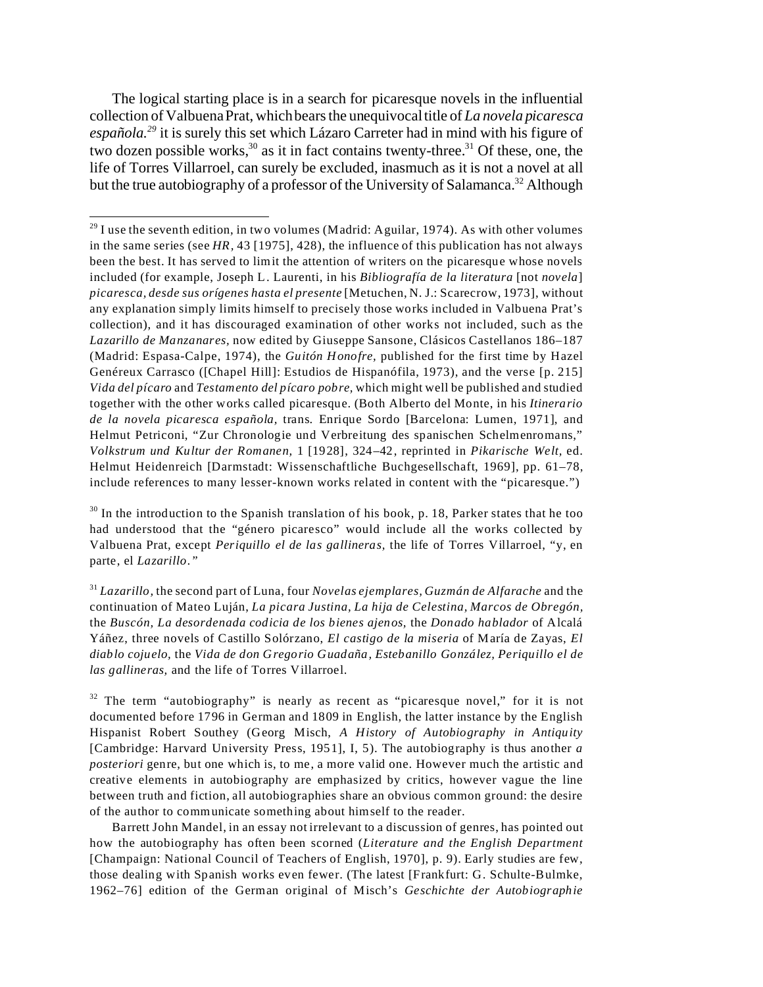The logical starting place is in a search for picaresque novels in the influential collection of Valbuena Prat, which bears the unequivocal title of *La novela picaresca española.<sup>29</sup>* it is surely this set which Lázaro Carreter had in mind with his figure of two dozen possible works,<sup>30</sup> as it in fact contains twenty-three.<sup>31</sup> Of these, one, the life of Torres Villarroel, can surely be excluded, inasmuch as it is not a novel at all but the true autobiography of a professor of the University of Salamanca.<sup>32</sup> Although

 $29$  I use the seventh edition, in two volumes (Madrid: Aguilar, 1974). As with other volumes in the same series (see *HR,* 43 [1975], 428), the influence of this publication has not always been the best. It has served to limit the attention of writers on the picaresque whose novels included (for example, Joseph L. Laurenti, in his *Bibliografía de la literatura* [not *novela*] *picaresca, desde sus orígenes hasta el presente* [Metuchen, N. J.: Scarecrow, 1973], without any explanation simply limits himself to precisely those works included in Valbuena Prat's collection), and it has discouraged examination of other works not included, such as the *Lazarillo de Manzanares,* now edited by Giuseppe Sansone, Clásicos Castellanos 186–187 (Madrid: Espasa-Calpe, 1974), the *Guitón Honofre,* published for the first time by Hazel Genéreux Carrasco ([Chapel Hill]: Estudios de Hispanófila, 1973), and the verse [p. 215] *Vida del pícaro* and *Testamento del pícaro pobre,* which might well be published and studied together with the other works called picaresque. (Both Alberto del Monte, in his *Itinerario de la novela picaresca española,* trans. Enrique Sordo [Barcelona: Lumen, 1971], and Helmut Petriconi, "Zur Chronologie und Verbreitung des spanischen Schelmenromans," *Volkstrum und Kultur der Romanen,* 1 [1928], 324–42, reprinted in *Pikarische Welt,* ed. Helmut Heidenreich [Darmstadt: Wissenschaftliche Buchgesellschaft, 1969], pp. 61–78, include references to many lesser-known works related in content with the "picaresque.")

 $30$  In the introduction to the Spanish translation of his book, p. 18, Parker states that he too had understood that the "género picaresco" would include all the works collected by Valbuena Prat, except *Periquillo el de las gallineras,* the life of Torres Villarroel, "y, en parte, el *Lazarillo."*

<sup>31</sup> *Lazarillo,* the second part of Luna, four *Novelas ejemplares, Guzmán de Alfarache* and the continuation of Mateo Luján, *La picara Justina, La hija de Celestina, Marcos de Obregón,* the *Buscón, La desordenada codicia de los bienes ajenos,* the *Donado hablador* of Alcalá Yáñez, three novels of Castillo Solórzano, *El castigo de la miseria* of María de Zayas, *El diablo cojuelo,* the *Vida de don Gregorio Guadaña, Estebanillo González, Periquillo el de las gallineras,* and the life of Torres Villarroel.

 $32$  The term "autobiography" is nearly as recent as "picaresque novel," for it is not documented before 1796 in German and 1809 in English, the latter instance by the English Hispanist Robert Southey (Georg Misch, *A History of Autobiography in Antiquity* [Cambridge: Harvard University Press, 1951], I, 5). The autobiography is thus another *a posteriori* genre, but one which is, to me, a more valid one. However much the artistic and creative elements in autobiography are emphasized by critics, however vague the line between truth and fiction, all autobiographies share an obvious common ground: the desire of the author to communicate something about himself to the reader.

Barrett John Mandel, in an essay not irrelevant to a discussion of genres, has pointed out how the autobiography has often been scorned (*Literature and the English Department* [Champaign: National Council of Teachers of English, 1970], p. 9). Early studies are few, those dealing with Spanish works even fewer. (The latest [Frankfurt: G. Schulte-Bulmke, 1962–76] edition of the German original of Misch's *Geschichte der Autobiographie*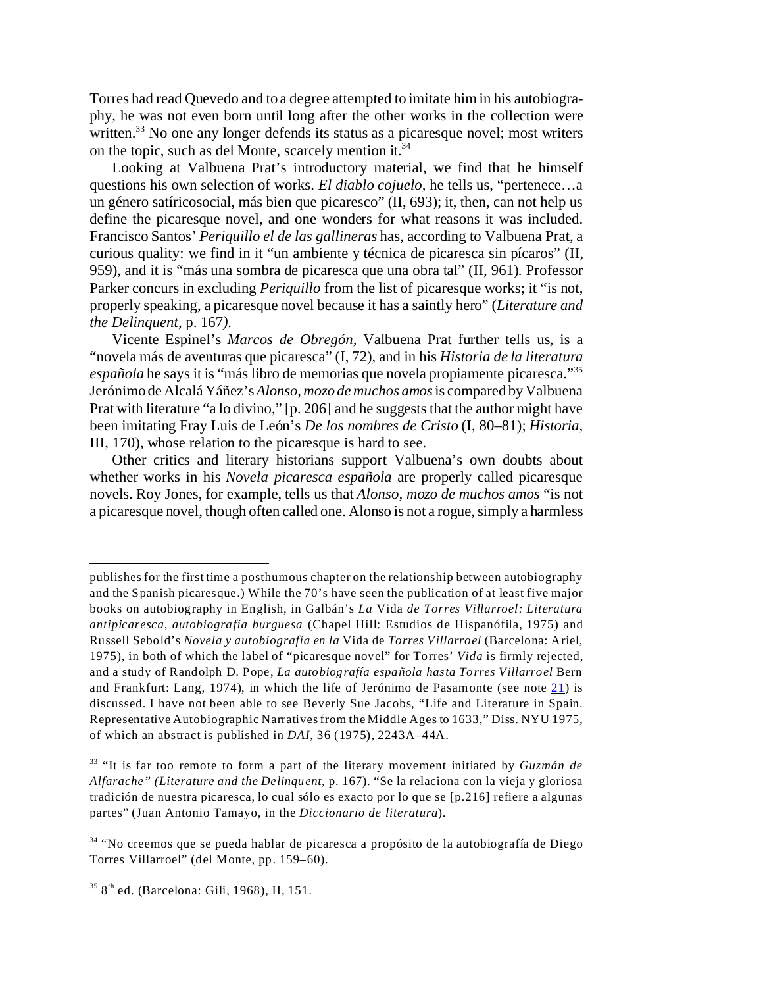Torres had read Quevedo and to a degree attempted to imitate him in his autobiography, he was not even born until long after the other works in the collection were written.<sup>33</sup> No one any longer defends its status as a picaresque novel; most writers on the topic, such as del Monte, scarcely mention it.<sup>34</sup>

<span id="page-7-0"></span>Looking at Valbuena Prat's introductory material, we find that he himself questions his own selection of works. *El diablo cojuelo,* he tells us, "pertenece…a un género satíricosocial, más bien que picaresco" (II, 693); it, then, can not help us define the picaresque novel, and one wonders for what reasons it was included. Francisco Santos' *Periquillo el de las gallineras* has, according to Valbuena Prat, a curious quality: we find in it "un ambiente y técnica de picaresca sin pícaros" (II, 959), and it is "más una sombra de picaresca que una obra tal" (II, 961). Professor Parker concurs in excluding *Periquillo* from the list of picaresque works; it "is not, properly speaking, a picaresque novel because it has a saintly hero" (*Literature and the Delinquent*, p. 167*).*

Vicente Espinel's *Marcos de Obregón,* Valbuena Prat further tells us, is a "novela más de aventuras que picaresca" (I, 72), and in his *Historia de la literatura española* he says it is "más libro de memorias que novela propiamente picaresca."<sup>35</sup> Jerónimo de Alcalá Yáñez's*Alonso, mozo de muchos amos* is compared by Valbuena Prat with literature "a lo divino," [p. 206] and he suggests that the author might have been imitating Fray Luis de León's *De los nombres de Cristo* (I, 80–81); *Historia,* III, 170), whose relation to the picaresque is hard to see.

Other critics and literary historians support Valbuena's own doubts about whether works in his *Novela picaresca española* are properly called picaresque novels. Roy Jones, for example, tells us that *Alonso, mozo de muchos amos* "is not a picaresque novel, though often called one. Alonso is not a rogue, simply a harmless

publishes for the first time a posthumous chapter on the relationship between autobiography and the Spanish picaresque.) While the 70's have seen the publication of at least five major books on autobiography in English, in Galbán's *La* Vida *de Torres Villarroel: Literatura antipicaresca, autobiografía burguesa* (Chapel Hill: Estudios de Hispanófila, 1975) and Russell Sebold's *Novela y autobiografía en la* Vida de *Torres Villarroel* (Barcelona: Ariel, 1975), in both of which the label of "picaresque novel" for Torres' *Vida* is firmly rejected, and a study of Randolph D. Pope, *La autobiografía española hasta Torres Villarroel* Bern and Frankfurt: Lang, 1974), in which the life of Jerónimo de Pasamonte (see note [21](#page-4-0)) is discussed. I have not been able to see Beverly Sue Jacobs, "Life and Literature in Spain. Representative Autobiographic Narratives from the Middle Ages to 1633," Diss. NYU 1975, of which an abstract is published in *DAI*, 36 (1975), 2243A–44A.

<sup>33</sup> "It is far too remote to form a part of the literary movement initiated by *Guzmán de Alfarache" (Literature and the Delinquent,* p. 167). "Se la relaciona con la vieja y gloriosa tradición de nuestra picaresca, lo cual sólo es exacto por lo que se [p.216] refiere a algunas partes" (Juan Antonio Tamayo, in the *Diccionario de literatura*).

<sup>34</sup> "No creemos que se pueda hablar de picaresca a propósito de la autobiografía de Diego Torres Villarroel" (del Monte, pp. 159–60).

 $358$ <sup>th</sup> ed. (Barcelona: Gili, 1968), II, 151.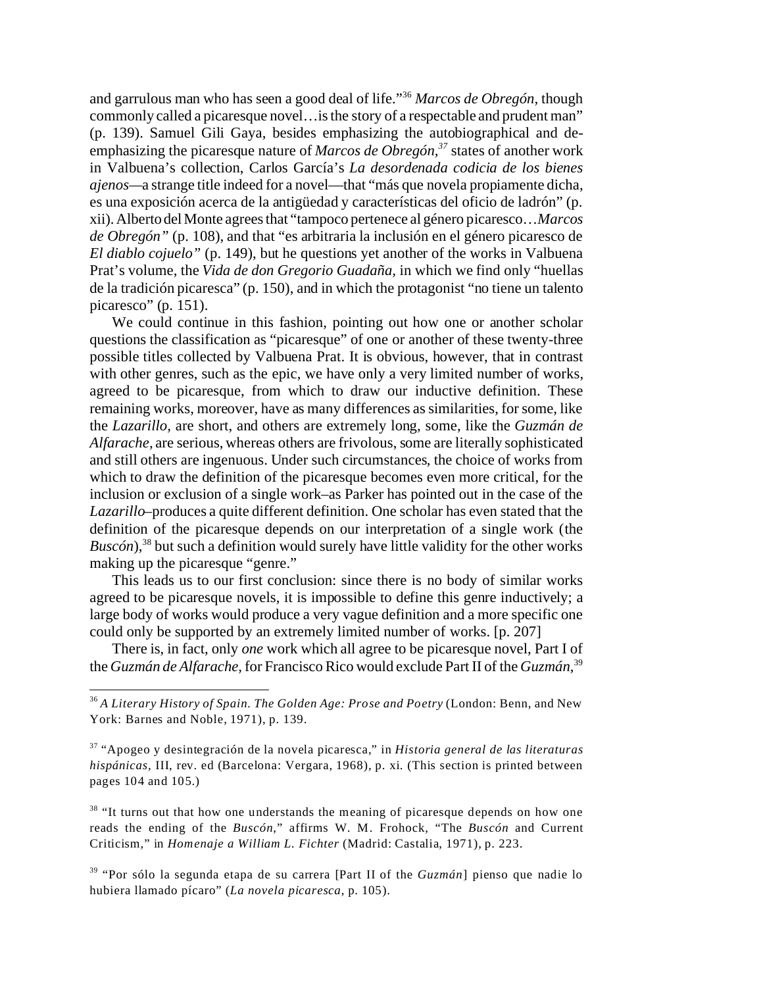and garrulous man who has seen a good deal of life."<sup>36</sup> *Marcos de Obregón,* though commonly called a picaresque novel…is the story of a respectable and prudent man" (p. 139). Samuel Gili Gaya, besides emphasizing the autobiographical and deemphasizing the picaresque nature of *Marcos de Obregón,<sup>37</sup>* states of another work in Valbuena's collection, Carlos García's *La desordenada codicia de los bienes ajenos—*a strange title indeed for a novel—that "más que novela propiamente dicha, es una exposición acerca de la antigüedad y características del oficio de ladrón" (p. xii).Albertodel Monte agrees that "tampoco pertenece al género picaresco…*Marcos de Obregón"* (p. 108), and that "es arbitraria la inclusión en el género picaresco de *El diablo cojuelo"* (p. 149), but he questions yet another of the works in Valbuena Prat's volume, the *Vida de don Gregorio Guadaña,* in which we find only "huellas de la tradición picaresca" (p. 150), and in which the protagonist "no tiene un talento picaresco" (p. 151).

We could continue in this fashion, pointing out how one or another scholar questions the classification as "picaresque" of one or another of these twenty-three possible titles collected by Valbuena Prat. It is obvious, however, that in contrast with other genres, such as the epic, we have only a very limited number of works, agreed to be picaresque, from which to draw our inductive definition. These remaining works, moreover, have as many differences as similarities, for some, like the *Lazarillo,* are short, and others are extremely long, some, like the *Guzmán de Alfarache,* are serious, whereas others are frivolous, some are literally sophisticated and still others are ingenuous. Under such circumstances, the choice of works from which to draw the definition of the picaresque becomes even more critical, for the inclusion or exclusion of a single work–as Parker has pointed out in the case of the *Lazarillo*–produces a quite different definition. One scholar has even stated that the definition of the picaresque depends on our interpretation of a single work (the  $Busc\acute{o}n$ ,<sup>38</sup> but such a definition would surely have little validity for the other works making up the picaresque "genre."

This leads us to our first conclusion: since there is no body of similar works agreed to be picaresque novels, it is impossible to define this genre inductively; a large body of works would produce a very vague definition and a more specific one could only be supported by an extremely limited number of works. [p. 207]

There is, in fact, only *one* work which all agree to be picaresque novel, Part I of the *Guzmán de Alfarache,* for Francisco Rico would exclude Part II of the *Guzmán*, 39

<sup>36</sup> *A Literary History of Spain. The Golden Age: Prose and Poetry* (London: Benn, and New York: Barnes and Noble, 1971), p. 139.

<span id="page-8-0"></span><sup>37</sup> "Apogeo y desintegración de la novela picaresca," in *Historia general de las literaturas hispánicas,* III, rev. ed (Barcelona: Vergara, 1968), p. xi. (This section is printed between pages 104 and 105.)

<sup>&</sup>lt;sup>38</sup> "It turns out that how one understands the meaning of picaresque depends on how one reads the ending of the *Buscón*," affirms W. M. Frohock, "The *Buscón* and Current Criticism," in *Homenaje a William L. Fichter* (Madrid: Castalia, 1971), p. 223.

<sup>39</sup> "Por sólo la segunda etapa de su carrera [Part II of the *Guzmán*] pienso que nadie lo hubiera llamado pícaro" (*La novela picaresca,* p. 105).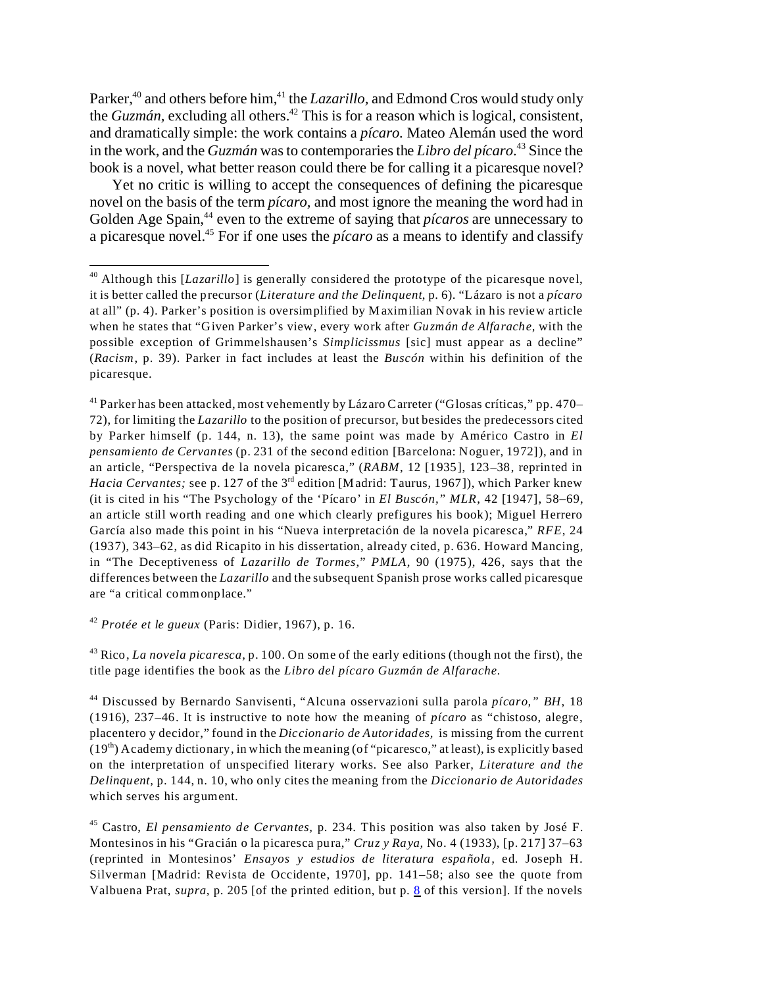Parker,<sup>40</sup> and others before him,<sup>41</sup> the *Lazarillo*, and Edmond Cros would study only the *Guzmán*, excluding all others.<sup>42</sup> This is for a reason which is logical, consistent, and dramatically simple: the work contains a *pícaro.* Mateo Alemán used the word in the work, and the *Guzmán* was to contemporaries the *Libro del pícaro*. <sup>43</sup> Since the book is a novel, what better reason could there be for calling it a picaresque novel?

Yet no critic is willing to accept the consequences of defining the picaresque novel on the basis of the term *pícaro,* and most ignore the meaning the word had in Golden Age Spain,<sup>44</sup> even to the extreme of saying that *picaros* are unnecessary to a picaresque novel.45 For if one uses the *pícaro* as a means to identify and classify

<sup>41</sup> Parker has been attacked, most vehemently by Lázaro Carreter ("Glosas críticas," pp. 470– 72), for limiting the *Lazarillo* to the position of precursor, but besides the predecessors cited by Parker himself (p. 144, n. 13), the same point was made by Américo Castro in *El pensamiento de Cervantes* (p. 231 of the second edition [Barcelona: Noguer, 1972]), and in an article, "Perspectiva de la novela picaresca," (*RABM*, 12 [1935], 123–38, reprinted in *Hacia Cervantes;* see p. 127 of the 3<sup>rd</sup> edition [Madrid: Taurus, 1967]), which Parker knew (it is cited in his "The Psychology of the 'Pícaro' in *El Buscón," MLR*, 42 [1947], 58–69, an article still worth reading and one which clearly prefigures his book); Miguel Herrero García also made this point in his "Nueva interpretación de la novela picaresca," *RFE*, 24 (1937), 343–62, as did Ricapito in his dissertation, already cited, p. 636. Howard Mancing, in "The Deceptiveness of *Lazarillo de Tormes*," *PMLA*, 90 (1975), 426, says that the differences between the *Lazarillo* and the subsequent Spanish prose works called picaresque are "a critical commonplace."

<span id="page-9-0"></span><sup>42</sup> *Protée et le gueux* (Paris: Didier, 1967), p. 16.

<sup>43</sup> Rico, *La novela picaresca,* p. 100. On some of the early editions (though not the first), the title page identifies the book as the *Libro del pícaro Guzmán de Alfarache.*

<sup>44</sup> Discussed by Bernardo Sanvisenti, "Alcuna osservazioni sulla parola *pícaro," BH*, 18 (1916), 237–46. It is instructive to note how the meaning of *pícaro* as "chistoso, alegre, placentero y decidor," found in the *Diccionario de Autoridades,* is missing from the current  $(19<sup>th</sup>)$  Academy dictionary, in which the meaning (of "picaresco," at least), is explicitly based on the interpretation of unspecified literary works. See also Parker, *Literature and the Delinquent,* p. 144, n. 10, who only cites the meaning from the *Diccionario de Autoridades* which serves his argument.

<sup>45</sup> Castro, *El pensamiento de Cervantes,* p. 234. This position was also taken by José F. Montesinos in his "Gracián o la picaresca pura," *Cruz y Raya,* No. 4 (1933), [p. 217] 37–63 (reprinted in Montesinos' *Ensayos y estudios de literatura española,* ed. Joseph H. Silverman [Madrid: Revista de Occidente, 1970], pp. 141–58; also see the quote from Valbuena Prat, *supra,* p. 205 [of the printed edition, but p. [8](#page-7-0) of this version]. If the novels

<sup>40</sup> Although this [*Lazarillo*] is generally considered the prototype of the picaresque novel, it is better called the precursor (*Literature and the Delinquent*, p. 6). "Lázaro is not a *pícaro* at all" (p. 4). Parker's position is oversimplified by Maximilian Novak in his review article when he states that "Given Parker's view, every work after *Guzmán de Alfarache,* with the possible exception of Grimmelshausen's *Simplicissmus* [sic] must appear as a decline" (*Racism*, p. 39). Parker in fact includes at least the *Buscón* within his definition of the picaresque.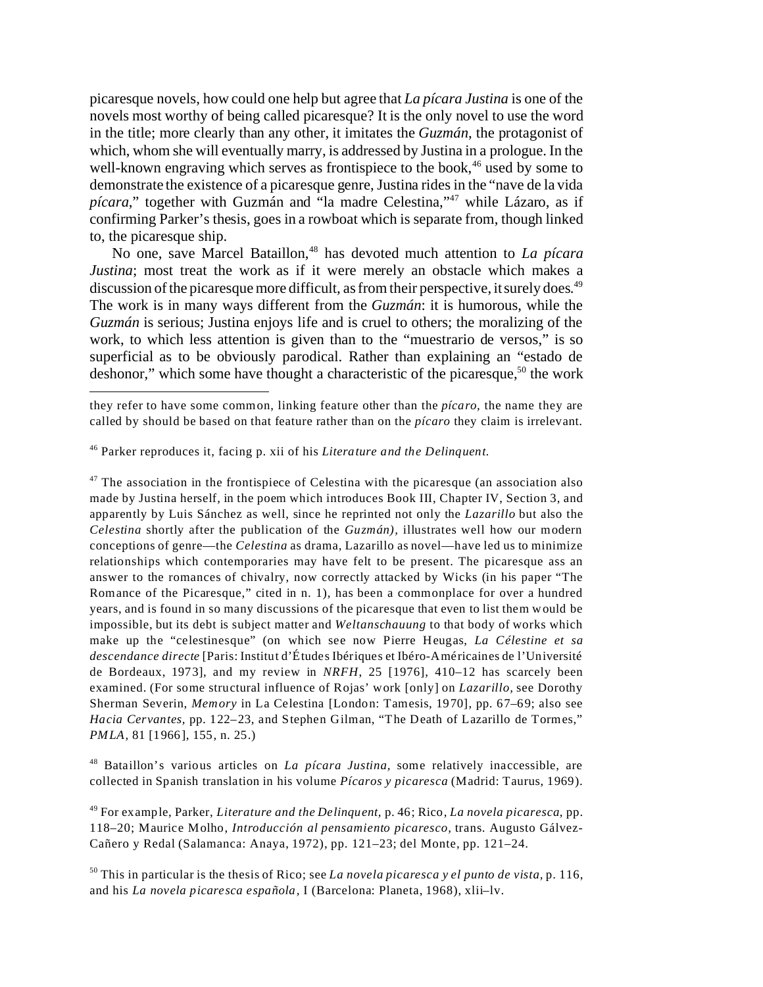picaresque novels, how could one help but agree that *La pícara Justina* is one of the novels most worthy of being called picaresque? It is the only novel to use the word in the title; more clearly than any other, it imitates the *Guzmán*, the protagonist of which, whom she will eventually marry, is addressed by Justina in a prologue. In the well-known engraving which serves as frontispiece to the book, $46$  used by some to demonstrate the existence of a picaresque genre, Justina rides in the "nave de la vida *pícara*," together with Guzmán and "la madre Celestina,"<sup>47</sup> while Lázaro, as if confirming Parker's thesis, goes in a rowboat which is separate from, though linked to, the picaresque ship.

No one, save Marcel Bataillon,<sup>48</sup> has devoted much attention to *La pícara Justina*; most treat the work as if it were merely an obstacle which makes a discussion of the picaresque more difficult, as from their perspective, it surely does.<sup>49</sup> The work is in many ways different from the *Guzmán*: it is humorous, while the *Guzmán* is serious; Justina enjoys life and is cruel to others; the moralizing of the work, to which less attention is given than to the "muestrario de versos," is so superficial as to be obviously parodical. Rather than explaining an "estado de deshonor," which some have thought a characteristic of the picaresque,  $50$  the work

 $47$  The association in the frontispiece of Celestina with the picaresque (an association also made by Justina herself, in the poem which introduces Book III, Chapter IV, Section 3, and apparently by Luis Sánchez as well, since he reprinted not only the *Lazarillo* but also the *Celestina* shortly after the publication of the *Guzmán),* illustrates well how our modern conceptions of genre—the *Celestina* as drama, Lazarillo as novel—have led us to minimize relationships which contemporaries may have felt to be present. The picaresque ass an answer to the romances of chivalry, now correctly attacked by Wicks (in his paper "The Romance of the Picaresque," cited in n. 1), has been a commonplace for over a hundred years, and is found in so many discussions of the picaresque that even to list them would be impossible, but its debt is subject matter and *Weltanschauung* to that body of works which make up the "celestinesque" (on which see now Pierre Heugas, *La Célestine et sa descendance directe* [Paris: Institut d'Études Ibériques et Ibéro-Américaines de l'Université de Bordeaux, 1973], and my review in *NRFH*, 25 [1976], 410–12 has scarcely been examined. (For some structural influence of Rojas' work [only] on *Lazarillo,* see Dorothy Sherman Severin, *Memory* in La Celestina [London: Tamesis, 1970], pp. 67–69; also see *Hacia Cervantes,* pp. 122–23, and Stephen Gilman, "The Death of Lazarillo de Tormes," *PMLA,* 81 [1966], 155, n. 25.)

<sup>48</sup> Bataillon's various articles on *La pícara Justina,* some relatively inaccessible, are collected in Spanish translation in his volume *Pícaros y picaresca* (Madrid: Taurus, 1969).

<sup>49</sup> For example, Parker, *Literature and the Delinquent,* p. 46; Rico, *La novela picaresca*, pp. 118–20; Maurice Molho, *Introducción al pensamiento picaresco,* trans. Augusto Gálvez-Cañero y Redal (Salamanca: Anaya, 1972), pp. 121–23; del Monte, pp. 121–24.

<sup>50</sup> This in particular is the thesis of Rico; see *La novela picaresca y el punto de vista,* p. 116, and his *La novela picaresca española,* I (Barcelona: Planeta, 1968), xlii–lv.

they refer to have some common, linking feature other than the *pícaro,* the name they are called by should be based on that feature rather than on the *pícaro* they claim is irrelevant.

<sup>46</sup> Parker reproduces it, facing p. xii of his *Literature and the Delinquent.*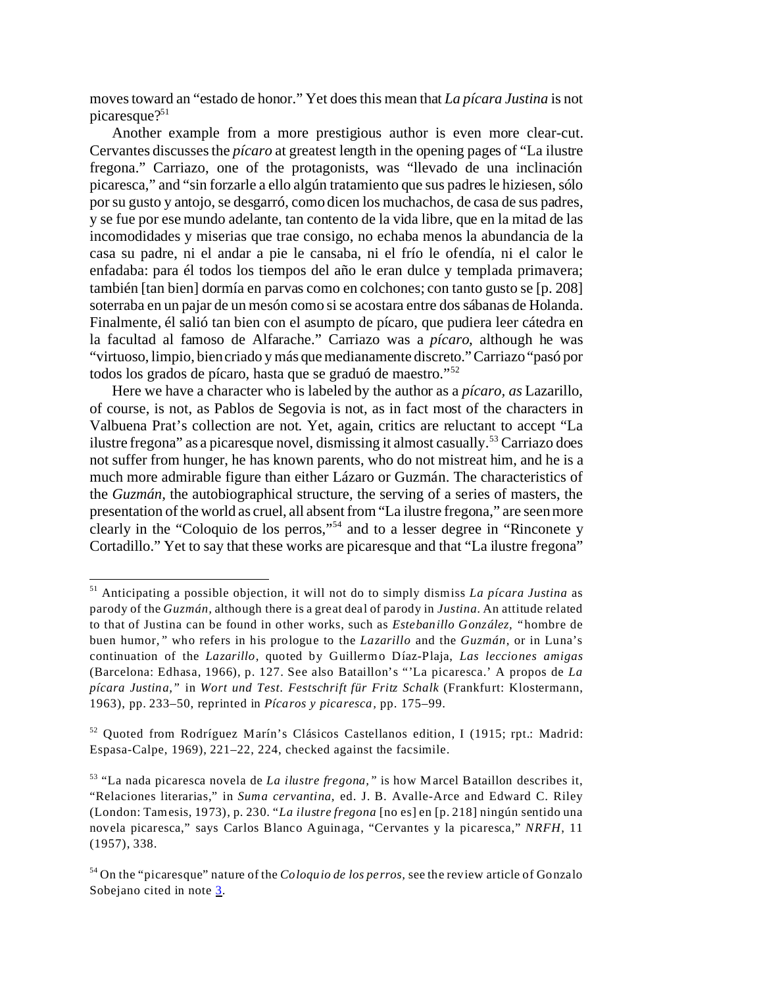moves toward an "estado de honor." Yet does this mean that *La pícara Justina* is not picaresque $?51$ 

Another example from a more prestigious author is even more clear-cut. Cervantes discusses the *pícaro* at greatest length in the opening pages of "La ilustre fregona." Carriazo, one of the protagonists, was "llevado de una inclinación picaresca," and "sin forzarle a ello algún tratamiento que sus padres le hiziesen, sólo por su gusto y antojo, se desgarró, como dicen los muchachos, de casa de sus padres, y se fue por ese mundo adelante, tan contento de la vida libre, que en la mitad de las incomodidades y miserias que trae consigo, no echaba menos la abundancia de la casa su padre, ni el andar a pie le cansaba, ni el frío le ofendía, ni el calor le enfadaba: para él todos los tiempos del año le eran dulce y templada primavera; también [tan bien] dormía en parvas como en colchones; con tanto gusto se [p. 208] soterraba en un pajar de un mesón como si se acostara entre dos sábanas de Holanda. Finalmente, él salió tan bien con el asumpto de pícaro, que pudiera leer cátedra en la facultad al famoso de Alfarache." Carriazo was a *pícaro*, although he was "virtuoso, limpio, bien criado y más que medianamente discreto."Carriazo"pasó por todos los grados de pícaro, hasta que se graduó de maestro."<sup>52</sup>

Here we have a character who is labeled by the author as a *pícaro, as* Lazarillo, of course, is not, as Pablos de Segovia is not, as in fact most of the characters in Valbuena Prat's collection are not. Yet, again, critics are reluctant to accept "La ilustre fregona" as a picaresque novel, dismissing it almost casually.<sup>53</sup> Carriazo does not suffer from hunger, he has known parents, who do not mistreat him, and he is a much more admirable figure than either Lázaro or Guzmán. The characteristics of the *Guzmán,* the autobiographical structure, the serving of a series of masters, the presentation of the world as cruel, all absent from "La ilustre fregona," are seen more clearly in the "Coloquio de los perros,"<sup>54</sup> and to a lesser degree in "Rinconete y Cortadillo." Yet to say that these works are picaresque and that "La ilustre fregona"

<sup>51</sup> Anticipating a possible objection, it will not do to simply dismiss *La pícara Justina* as parody of the *Guzmán,* although there is a great deal of parody in *Justina.* An attitude related to that of Justina can be found in other works, such as *Estebanillo González, "*hombre de buen humor*,"* who refers in his prologue to the *Lazarillo* and the *Guzmán*, or in Luna's continuation of the *Lazarillo*, quoted by Guillermo Díaz-Plaja, *Las lecciones amigas* (Barcelona: Edhasa, 1966), p. 127. See also Bataillon's "'La picaresca.' A propos de *La pícara Justina,"* in *Wort und Test. Festschrift für Fritz Schalk* (Frankfurt: Klostermann, 1963), pp. 233–50, reprinted in *Pícaros y picaresca,* pp. 175–99.

<sup>52</sup> Quoted from Rodríguez Marín's Clásicos Castellanos edition, I (1915; rpt.: Madrid: Espasa-Calpe, 1969), 221–22, 224, checked against the facsimile.

<sup>53</sup> "La nada picaresca novela de *La ilustre fregona,"* is how Marcel Bataillon describes it, "Relaciones literarias," in *Suma cervantina,* ed. J. B. Avalle-Arce and Edward C. Riley (London: Tamesis, 1973), p. 230. "*La ilustre fregona* [no es] en [p. 218] ningún sentido una novela picaresca," says Carlos Blanco Aguinaga, "Cervantes y la picaresca," *NRFH*, 11 (1957), 338.

<sup>54</sup> On the "picaresque" nature of the *Coloquio de los perros,* see the review article of Gonzalo Sobejano cited in note [3](#page-1-0).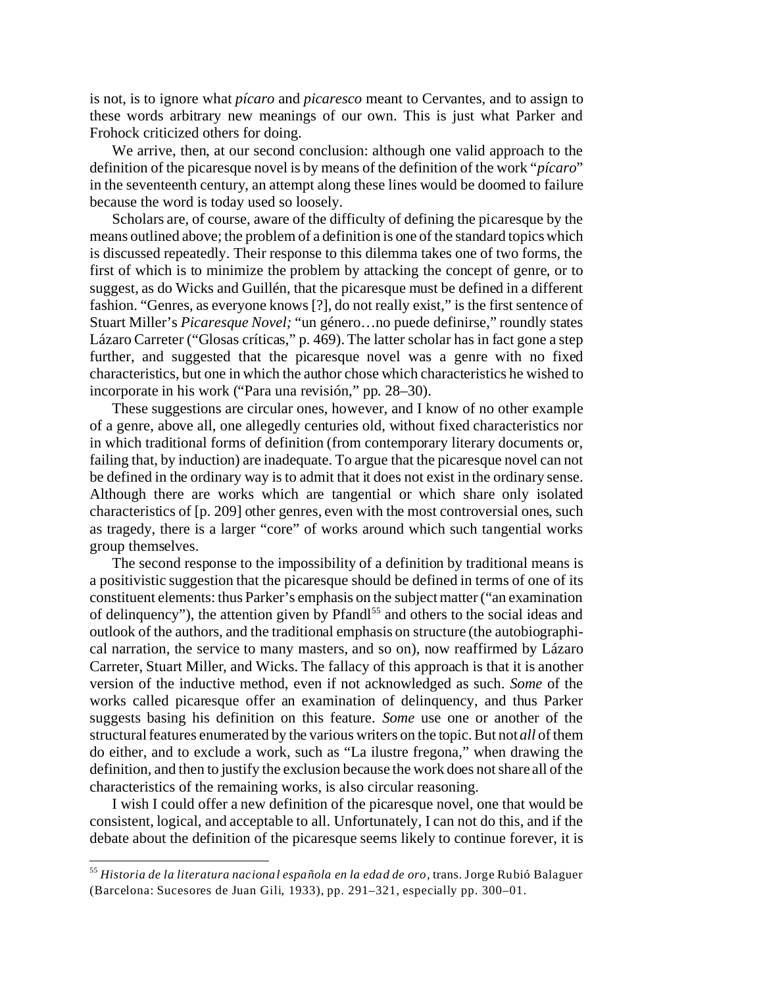is not, is to ignore what *pícaro* and *picaresco* meant to Cervantes, and to assign to these words arbitrary new meanings of our own. This is just what Parker and Frohock criticized others for doing.

We arrive, then, at our second conclusion: although one valid approach to the definition of the picaresque novel is by means of the definition of the work "*pícaro*" in the seventeenth century, an attempt along these lines would be doomed to failure because the word is today used so loosely.

Scholars are, of course, aware of the difficulty of defining the picaresque by the means outlined above; the problem of a definition is one of the standard topics which is discussed repeatedly. Their response to this dilemma takes one of two forms, the first of which is to minimize the problem by attacking the concept of genre, or to suggest, as do Wicks and Guillén, that the picaresque must be defined in a different fashion. "Genres, as everyone knows [?], do not really exist," is the first sentence of Stuart Miller's *Picaresque Novel;* "un género…no puede definirse," roundly states Lázaro Carreter ("Glosas críticas," p. 469). The latter scholar has in fact gone a step further, and suggested that the picaresque novel was a genre with no fixed characteristics, but one in which the author chose which characteristics he wished to incorporate in his work ("Para una revisión," pp. 28–30).

These suggestions are circular ones, however, and I know of no other example of a genre, above all, one allegedly centuries old, without fixed characteristics nor in which traditional forms of definition (from contemporary literary documents or, failing that, by induction) are inadequate. To argue that the picaresque novel can not be defined in the ordinary way is to admit that it does not exist in the ordinary sense. Although there are works which are tangential or which share only isolated characteristics of [p. 209] other genres, even with the most controversial ones, such as tragedy, there is a larger "core" of works around which such tangential works group themselves.

The second response to the impossibility of a definition by traditional means is a positivistic suggestion that the picaresque should be defined in terms of one of its constituent elements: thus Parker's emphasis on the subject matter ("an examination of delinquency"), the attention given by Pfandl<sup>55</sup> and others to the social ideas and outlook of the authors, and the traditional emphasis on structure (the autobiographical narration, the service to many masters, and so on), now reaffirmed by Lázaro Carreter, Stuart Miller, and Wicks. The fallacy of this approach is that it is another version of the inductive method, even if not acknowledged as such. *Some* of the works called picaresque offer an examination of delinquency, and thus Parker suggests basing his definition on this feature. *Some* use one or another of the structural features enumerated by the various writers on the topic. But not *all* of them do either, and to exclude a work, such as "La ilustre fregona," when drawing the definition, and then to justify the exclusion because the work does not share all of the characteristics of the remaining works, is also circular reasoning.

I wish I could offer a new definition of the picaresque novel, one that would be consistent, logical, and acceptable to all. Unfortunately, I can not do this, and if the debate about the definition of the picaresque seems likely to continue forever, it is

<sup>55</sup> *Historia de la literatura nacional española en la edad de oro,* trans. Jorge Rubió Balaguer (Barcelona: Sucesores de Juan Gili, 1933), pp. 291–321, especially pp. 300–01.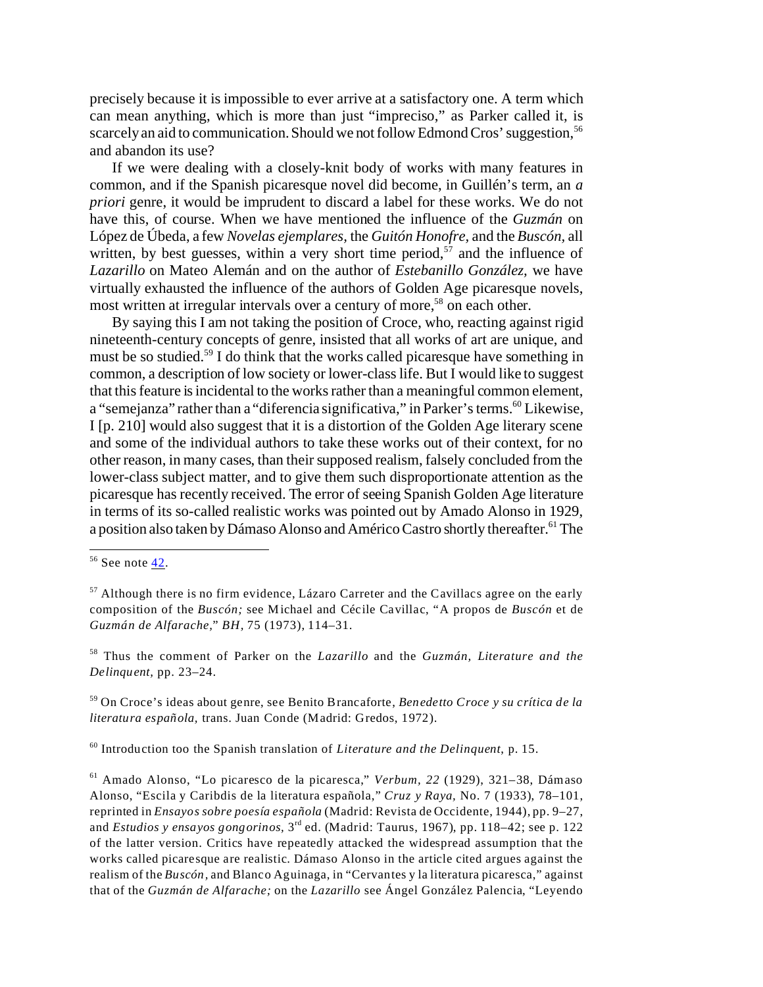precisely because it is impossible to ever arrive at a satisfactory one. A term which can mean anything, which is more than just "impreciso," as Parker called it, is scarcely an aid to communication. Should we not follow Edmond Cros' suggestion,<sup>56</sup> and abandon its use?

If we were dealing with a closely-knit body of works with many features in common, and if the Spanish picaresque novel did become, in Guillén's term, an *a priori* genre, it would be imprudent to discard a label for these works. We do not have this, of course. When we have mentioned the influence of the *Guzmán* on López de Úbeda, a few *Novelas ejemplares,* the *Guitón Honofre,* and the *Buscón,* all written, by best guesses, within a very short time period,  $57$  and the influence of *Lazarillo* on Mateo Alemán and on the author of *Estebanillo González,* we have virtually exhausted the influence of the authors of Golden Age picaresque novels, most written at irregular intervals over a century of more,<sup>58</sup> on each other.

By saying this I am not taking the position of Croce, who, reacting against rigid nineteenth-century concepts of genre, insisted that all works of art are unique, and must be so studied.<sup>59</sup> I do think that the works called picaresque have something in common, a description of low society or lower-class life. But I would like to suggest that this feature is incidental to the works rather than a meaningful common element, a "semejanza" rather than a "diferencia significativa," in Parker's terms.<sup>60</sup> Likewise, I [p. 210] would also suggest that it is a distortion of the Golden Age literary scene and some of the individual authors to take these works out of their context, for no other reason, in many cases, than their supposed realism, falsely concluded from the lower-class subject matter, and to give them such disproportionate attention as the picaresque has recently received. The error of seeing Spanish Golden Age literature in terms of its so-called realistic works was pointed out by Amado Alonso in 1929, a position also taken by Dámaso Alonso and Américo Castro shortly thereafter.<sup>61</sup> The

<sup>58</sup> Thus the comment of Parker on the *Lazarillo* and the *Guzmán, Literature and the Delinquent,* pp. 23–24.

<sup>59</sup> On Croce's ideas about genre, see Benito Brancaforte, *Benedetto Croce y su crítica de la literatura española,* trans. Juan Conde (Madrid: Gredos, 1972).

<sup>60</sup> Introduction too the Spanish translation of *Literature and the Delinquent*, p. 15.

 $56$  See note [42](#page-9-0).

 $57$  Although there is no firm evidence, Lázaro Carreter and the Cavillacs agree on the early composition of the *Buscón;* see Michael and Cécile Cavillac, "A propos de *Buscón* et de *Guzmán de Alfarache,*" *BH,* 75 (1973), 114–31.

<sup>61</sup> Amado Alonso, "Lo picaresco de la picaresca," *Verbum, 22* (1929), 321–38, Dámaso Alonso, "Escila y Caribdis de la literatura española," *Cruz y Raya,* No. 7 (1933), 78–101, reprinted in *Ensayos sobre poesía española* (Madrid: Revista de Occidente, 1944), pp. 9–27, and *Estudios y ensayos gongorinos*, 3<sup>rd</sup> ed. (Madrid: Taurus, 1967), pp. 118–42; see p. 122 of the latter version. Critics have repeatedly attacked the widespread assumption that the works called picaresque are realistic. Dámaso Alonso in the article cited argues against the realism of the *Buscón,* and Blanco Aguinaga, in "Cervantes y la literatura picaresca," against that of the *Guzmán de Alfarache;* on the *Lazarillo* see Ángel González Palencia, "Leyendo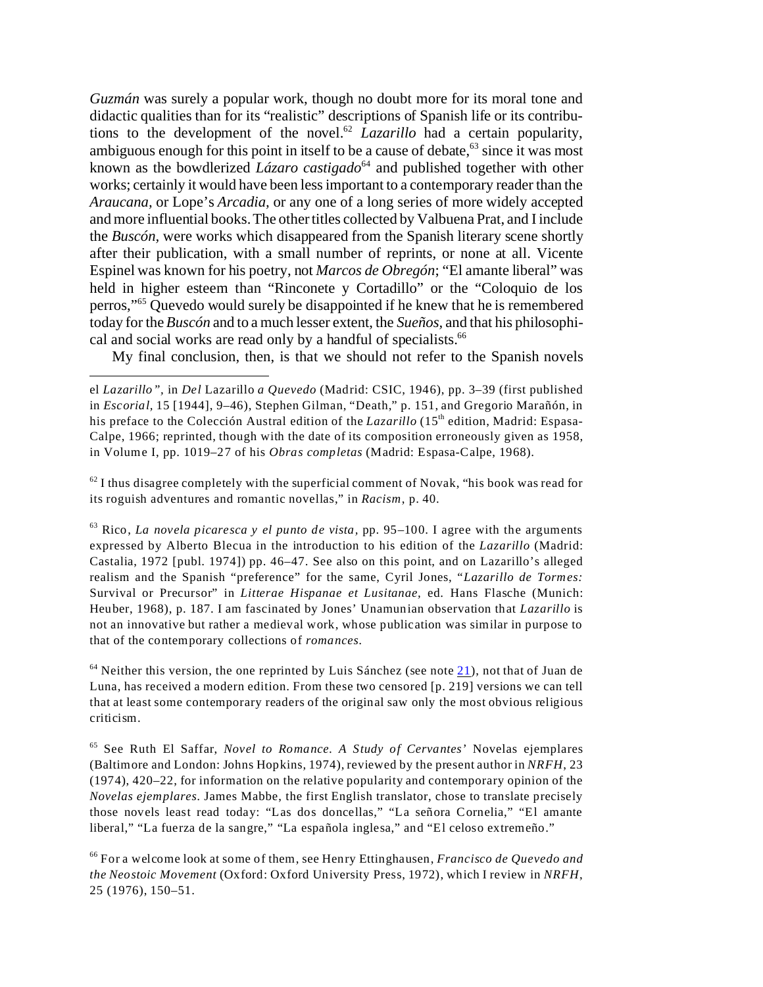*Guzmán* was surely a popular work, though no doubt more for its moral tone and didactic qualities than for its "realistic" descriptions of Spanish life or its contributions to the development of the novel.<sup>62</sup> *Lazarillo* had a certain popularity, ambiguous enough for this point in itself to be a cause of debate,  $63$  since it was most known as the bowdlerized *Lázaro castigado*<sup>64</sup> and published together with other works; certainly it would have been less important to a contemporary reader than the *Araucana,* or Lope's *Arcadia,* or any one of a long series of more widely accepted and more influential books. The other titles collected by Valbuena Prat, and I include the *Buscón,* were works which disappeared from the Spanish literary scene shortly after their publication, with a small number of reprints, or none at all. Vicente Espinel was known for his poetry, not *Marcos de Obregón*; "El amante liberal" was held in higher esteem than "Rinconete y Cortadillo" or the "Coloquio de los perros,"<sup>65</sup> Quevedo would surely be disappointed if he knew that he is remembered today for the *Buscón* and to a much lesser extent, the *Sueños,* and that his philosophical and social works are read only by a handful of specialists.<sup>66</sup>

My final conclusion, then, is that we should not refer to the Spanish novels

 $62$  I thus disagree completely with the superficial comment of Novak, "his book was read for its roguish adventures and romantic novellas," in *Racism*, p. 40.

<sup>63</sup> Rico, *La novela picaresca y el punto de vista,* pp. 95–100. I agree with the arguments expressed by Alberto Blecua in the introduction to his edition of the *Lazarillo* (Madrid: Castalia, 1972 [publ. 1974]) pp. 46–47. See also on this point, and on Lazarillo's alleged realism and the Spanish "preference" for the same, Cyril Jones, "*Lazarillo de Tormes:* Survival or Precursor" in *Litterae Hispanae et Lusitanae,* ed. Hans Flasche (Munich: Heuber, 1968), p. 187. I am fascinated by Jones' Unamunian observation that *Lazarillo* is not an innovative but rather a medieval work, whose publication was similar in purpose to that of the contemporary collections of *romances.*

 $64$  Neither this version, the one reprinted by Luis Sánchez (see note  $21$ ), not that of Juan de Luna, has received a modern edition. From these two censored [p. 219] versions we can tell that at least some contemporary readers of the original saw only the most obvious religious criticism.

<sup>65</sup> See Ruth El Saffar, *Novel to Romance. A Study of Cervantes'* Novelas ejemplares (Baltimore and London: Johns Hopkins, 1974), reviewed by the present author in *NRFH*, 23 (1974), 420–22, for information on the relative popularity and contemporary opinion of the *Novelas ejemplares.* James Mabbe, the first English translator, chose to translate precisely those novels least read today: "Las dos doncellas," "La señora Cornelia," "El amante liberal," "La fuerza de la sangre," "La española inglesa," and "El celoso extremeño."

<sup>66</sup> For a welcome look at some of them, see Henry Ettinghausen, *Francisco de Quevedo and the Neostoic Movement* (Oxford: Oxford University Press, 1972), which I review in *NRFH*, 25 (1976), 150–51.

el *Lazarillo",* in *Del* Lazarillo *a Quevedo* (Madrid: CSIC, 1946), pp. 3–39 (first published in *Escorial,* 15 [1944], 9–46), Stephen Gilman, "Death," p. 151, and Gregorio Marañón, in his preface to the Colección Austral edition of the *Lazarillo* (15<sup>th</sup> edition, Madrid: Espasa-Calpe, 1966; reprinted, though with the date of its composition erroneously given as 1958, in Volume I, pp. 1019–27 of his *Obras completas* (Madrid: Espasa-Calpe, 1968).